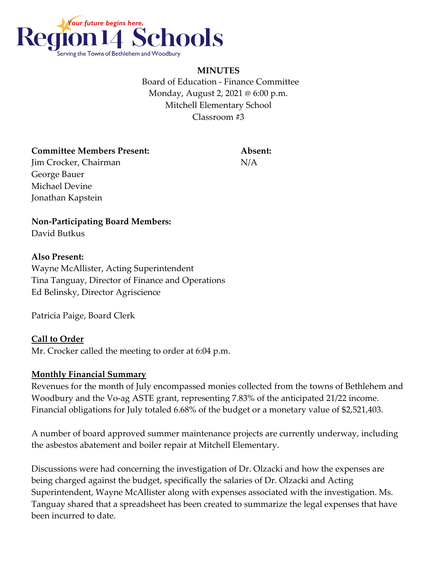

**MINUTES** Board of Education - Finance Committee Monday, August 2, 2021 @ 6:00 p.m. Mitchell Elementary School Classroom #3

**Committee Members Present: Absent: Jim Crocker, Chairman** N/A

**Non-Participating Board Members:**

David Butkus

George Bauer Michael Devine Jonathan Kapstein

## **Also Present:**

Wayne McAllister, Acting Superintendent Tina Tanguay, Director of Finance and Operations Ed Belinsky, Director Agriscience

Patricia Paige, Board Clerk

# **Call to Order**

Mr. Crocker called the meeting to order at 6:04 p.m.

#### **Monthly Financial Summary**

Revenues for the month of July encompassed monies collected from the towns of Bethlehem and Woodbury and the Vo-ag ASTE grant, representing 7.83% of the anticipated 21/22 income. Financial obligations for July totaled 6.68% of the budget or a monetary value of \$2,521,403.

A number of board approved summer maintenance projects are currently underway, including the asbestos abatement and boiler repair at Mitchell Elementary.

Discussions were had concerning the investigation of Dr. Olzacki and how the expenses are being charged against the budget, specifically the salaries of Dr. Olzacki and Acting Superintendent, Wayne McAllister along with expenses associated with the investigation. Ms. Tanguay shared that a spreadsheet has been created to summarize the legal expenses that have been incurred to date.